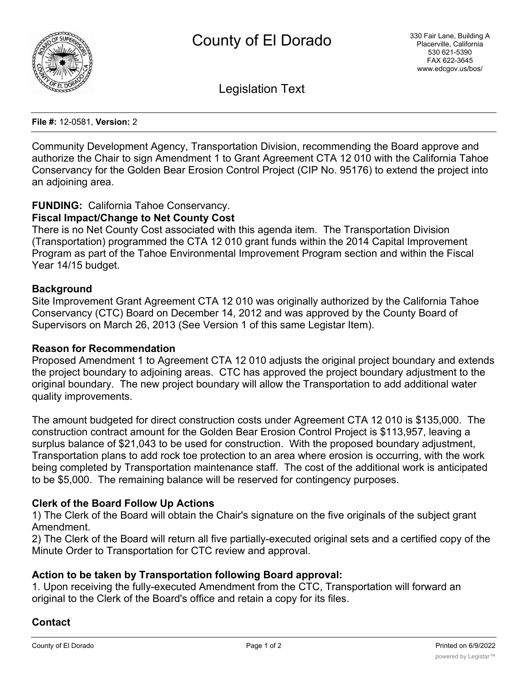

Legislation Text

**File #:** 12-0581, **Version:** 2

Community Development Agency, Transportation Division, recommending the Board approve and authorize the Chair to sign Amendment 1 to Grant Agreement CTA 12 010 with the California Tahoe Conservancy for the Golden Bear Erosion Control Project (CIP No. 95176) to extend the project into an adjoining area.

# **FUNDING:** California Tahoe Conservancy.

## **Fiscal Impact/Change to Net County Cost**

There is no Net County Cost associated with this agenda item. The Transportation Division (Transportation) programmed the CTA 12 010 grant funds within the 2014 Capital Improvement Program as part of the Tahoe Environmental Improvement Program section and within the Fiscal Year 14/15 budget.

#### **Background**

Site Improvement Grant Agreement CTA 12 010 was originally authorized by the California Tahoe Conservancy (CTC) Board on December 14, 2012 and was approved by the County Board of Supervisors on March 26, 2013 (See Version 1 of this same Legistar Item).

#### **Reason for Recommendation**

Proposed Amendment 1 to Agreement CTA 12 010 adjusts the original project boundary and extends the project boundary to adjoining areas. CTC has approved the project boundary adjustment to the original boundary. The new project boundary will allow the Transportation to add additional water quality improvements.

The amount budgeted for direct construction costs under Agreement CTA 12 010 is \$135,000. The construction contract amount for the Golden Bear Erosion Control Project is \$113,957, leaving a surplus balance of \$21,043 to be used for construction. With the proposed boundary adjustment, Transportation plans to add rock toe protection to an area where erosion is occurring, with the work being completed by Transportation maintenance staff. The cost of the additional work is anticipated to be \$5,000. The remaining balance will be reserved for contingency purposes.

## **Clerk of the Board Follow Up Actions**

1) The Clerk of the Board will obtain the Chair's signature on the five originals of the subject grant Amendment.

2) The Clerk of the Board will return all five partially-executed original sets and a certified copy of the Minute Order to Transportation for CTC review and approval.

## **Action to be taken by Transportation following Board approval:**

1. Upon receiving the fully-executed Amendment from the CTC, Transportation will forward an original to the Clerk of the Board's office and retain a copy for its files.

## **Contact**